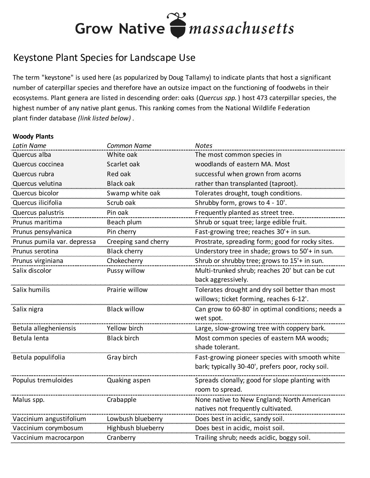### Grow Native *massachusetts*

### Keystone Plant Species for Landscape Use

The term "keystone" is used here (as popularized by Doug Tallamy) to indicate plants that host a significant number of caterpillar species and therefore have an outsize impact on the functioning of foodwebs in their ecosystems. Plant genera are listed in descending order: oaks (*Quercus spp.* ) host 473 caterpillar species, the highest number of any native plant genus. This ranking comes from the National Wildlife Federation plant finder database *(link listed below)* .

#### **Woody Plants**

| <b>Latin Name</b>           | <b>Common Name</b>   | <b>Notes</b>                                      |
|-----------------------------|----------------------|---------------------------------------------------|
| Quercus alba                | White oak            | The most common species in                        |
| Quercus coccinea            | Scarlet oak          | woodlands of eastern MA. Most                     |
| Quercus rubra               | Red oak              | successful when grown from acorns                 |
| Quercus velutina            | <b>Black oak</b>     | rather than transplanted (taproot).               |
| Quercus bicolor             | Swamp white oak      | Tolerates drought, tough conditions.              |
| Quercus ilicifolia          | Scrub oak            | Shrubby form, grows to 4 - 10'.                   |
| Quercus palustris           | Pin oak              | Frequently planted as street tree.                |
| Prunus maritima             | Beach plum           | Shrub or squat tree; large edible fruit.          |
| Prunus pensylvanica         | Pin cherry           | Fast-growing tree; reaches 30'+ in sun.           |
| Prunus pumila var. depressa | Creeping sand cherry | Prostrate, spreading form; good for rocky sites.  |
| Prunus serotina             | <b>Black cherry</b>  | Understory tree in shade; grows to 50'+ in sun.   |
| Prunus virginiana           | Chokecherry          | Shrub or shrubby tree; grows to 15'+ in sun.      |
| Salix discolor              | Pussy willow         | Multi-trunked shrub; reaches 20' but can be cut   |
|                             |                      | back aggressively.                                |
| Salix humilis               | Prairie willow       | Tolerates drought and dry soil better than most   |
|                             |                      | willows; ticket forming, reaches 6-12'.           |
| Salix nigra                 | <b>Black willow</b>  | Can grow to 60-80' in optimal conditions; needs a |
|                             |                      | wet spot.                                         |
| Betula allegheniensis       | Yellow birch         | Large, slow-growing tree with coppery bark.       |
| Betula lenta                | <b>Black birch</b>   | Most common species of eastern MA woods;          |
|                             |                      | shade tolerant.                                   |
| Betula populifolia          | Gray birch           | Fast-growing pioneer species with smooth white    |
|                             |                      | bark; typically 30-40', prefers poor, rocky soil. |
| Populus tremuloides         | Quaking aspen        | Spreads clonally; good for slope planting with    |
|                             |                      | room to spread.                                   |
| Malus spp.                  | Crabapple            | None native to New England; North American        |
|                             |                      | natives not frequently cultivated.                |
| Vaccinium angustifolium     | Lowbush blueberry    | Does best in acidic, sandy soil.                  |
| Vaccinium corymbosum        | Highbush blueberry   | Does best in acidic, moist soil.                  |
| Vaccinium macrocarpon       | Cranberry            | Trailing shrub; needs acidic, boggy soil.         |
|                             |                      |                                                   |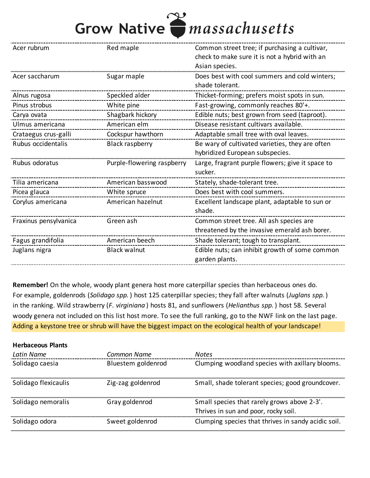# Grow Native *massachusetts*

| Acer rubrum           | Red maple                  | Common street tree; if purchasing a cultivar,    |
|-----------------------|----------------------------|--------------------------------------------------|
|                       |                            | check to make sure it is not a hybrid with an    |
|                       |                            | Asian species.                                   |
| Acer saccharum        | Sugar maple                | Does best with cool summers and cold winters;    |
|                       |                            | shade tolerant.                                  |
| Alnus rugosa          | Speckled alder             | Thicket-forming; prefers moist spots in sun.     |
| Pinus strobus         | White pine                 | Fast-growing, commonly reaches 80'+.             |
| Carya ovata           | Shagbark hickory           | Edible nuts; best grown from seed (taproot).     |
| Ulmus americana       | American elm               | Disease resistant cultivars available.           |
| Crataegus crus-galli  | Cockspur hawthorn          | Adaptable small tree with oval leaves.           |
| Rubus occidentalis    | <b>Black raspberry</b>     | Be wary of cultivated varieties, they are often  |
|                       |                            | hybridized European subspecies.                  |
| Rubus odoratus        | Purple-flowering raspberry | Large, fragrant purple flowers; give it space to |
|                       |                            | sucker.                                          |
| Tilia americana       | American basswood          | Stately, shade-tolerant tree.                    |
| Picea glauca          | White spruce               | Does best with cool summers.                     |
| Corylus americana     | American hazelnut          | Excellent landscape plant, adaptable to sun or   |
|                       |                            | shade.                                           |
| Fraxinus pensylvanica | Green ash                  | Common street tree. All ash species are          |
|                       |                            | threatened by the invasive emerald ash borer.    |
| Fagus grandifolia     | American beech             | Shade tolerant; tough to transplant.             |
| Juglans nigra         | <b>Black walnut</b>        | Edible nuts; can inhibit growth of some common   |
|                       |                            | garden plants.                                   |
|                       |                            |                                                  |

**Remember!** On the whole, woody plant genera host more caterpillar species than herbaceous ones do. For example, goldenrods (*Solidago spp.* ) host 125 caterpillar species; they fall after walnuts (*Juglans spp.* ) in the ranking. Wild strawberry (*F. virginiana* ) hosts 81, and sunflowers (*Helianthus spp.* ) host 58. Several woody genera not included on this list host more. To see the full ranking, go to the NWF link on the last page. Adding a keystone tree or shrub will have the biggest impact on the ecological health of your landscape!

| <b>Herbaceous Plants</b> |                    |                                                     |
|--------------------------|--------------------|-----------------------------------------------------|
| Latin Name               | Common Name        | <b>Notes</b>                                        |
| Solidago caesia          | Bluestem goldenrod | Clumping woodland species with axillary blooms.     |
| Solidago flexicaulis     | Zig-zag goldenrod  | Small, shade tolerant species; good groundcover.    |
| Solidago nemoralis       | Gray goldenrod     | Small species that rarely grows above 2-3'.         |
|                          |                    | Thrives in sun and poor, rocky soil.                |
| Solidago odora           | Sweet goldenrod    | Clumping species that thrives in sandy acidic soil. |